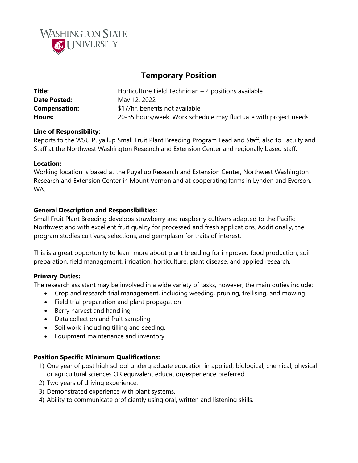

# **Temporary Position**

| Title:               | Horticulture Field Technician - 2 positions available             |
|----------------------|-------------------------------------------------------------------|
| <b>Date Posted:</b>  | May 12, 2022                                                      |
| <b>Compensation:</b> | \$17/hr, benefits not available                                   |
| Hours:               | 20-35 hours/week. Work schedule may fluctuate with project needs. |

### **Line of Responsibility:**

Reports to the WSU Puyallup Small Fruit Plant Breeding Program Lead and Staff; also to Faculty and Staff at the Northwest Washington Research and Extension Center and regionally based staff.

#### **Location:**

Working location is based at the Puyallup Research and Extension Center, Northwest Washington Research and Extension Center in Mount Vernon and at cooperating farms in Lynden and Everson, WA.

#### **General Description and Responsibilities:**

Small Fruit Plant Breeding develops strawberry and raspberry cultivars adapted to the Pacific Northwest and with excellent fruit quality for processed and fresh applications. Additionally, the program studies cultivars, selections, and germplasm for traits of interest.

This is a great opportunity to learn more about plant breeding for improved food production, soil preparation, field management, irrigation, horticulture, plant disease, and applied research.

### **Primary Duties:**

The research assistant may be involved in a wide variety of tasks, however, the main duties include:

- Crop and research trial management, including weeding, pruning, trellising, and mowing
- Field trial preparation and plant propagation
- Berry harvest and handling
- Data collection and fruit sampling
- Soil work, including tilling and seeding.
- Equipment maintenance and inventory

#### **Position Specific Minimum Qualifications:**

- 1) One year of post high school undergraduate education in applied, biological, chemical, physical or agricultural sciences OR equivalent education/experience preferred.
- 2) Two years of driving experience.
- 3) Demonstrated experience with plant systems.
- 4) Ability to communicate proficiently using oral, written and listening skills.